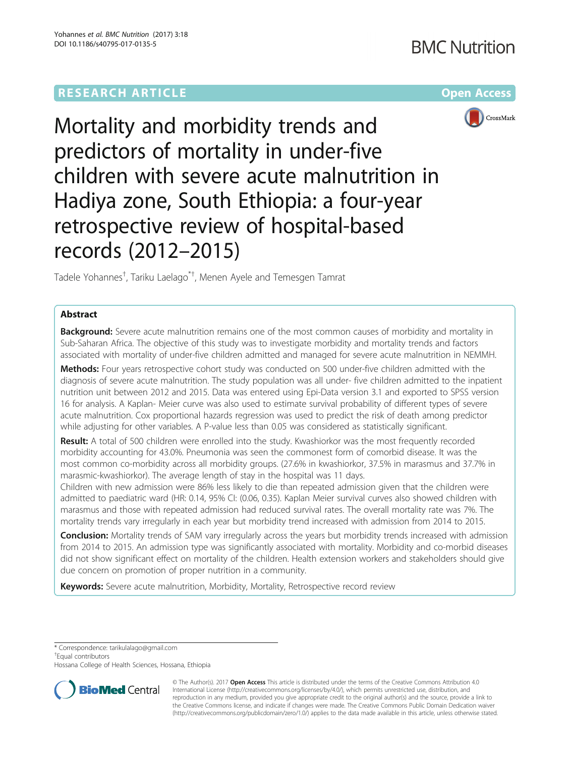# **RESEARCH ARTICLE Example 2014 12:30 The Community Community Community Community Community Community Community**



**BMC Nutrition** 



Mortality and morbidity trends and predictors of mortality in under-five children with severe acute malnutrition in Hadiya zone, South Ethiopia: a four-year retrospective review of hospital-based records (2012–2015)

Tadele Yohannes<sup>†</sup>, Tariku Laelago<sup>\*†</sup>, Menen Ayele and Temesgen Tamrat

# Abstract

**Background:** Severe acute malnutrition remains one of the most common causes of morbidity and mortality in Sub-Saharan Africa. The objective of this study was to investigate morbidity and mortality trends and factors associated with mortality of under-five children admitted and managed for severe acute malnutrition in NEMMH.

Methods: Four years retrospective cohort study was conducted on 500 under-five children admitted with the diagnosis of severe acute malnutrition. The study population was all under- five children admitted to the inpatient nutrition unit between 2012 and 2015. Data was entered using Epi-Data version 3.1 and exported to SPSS version 16 for analysis. A Kaplan- Meier curve was also used to estimate survival probability of different types of severe acute malnutrition. Cox proportional hazards regression was used to predict the risk of death among predictor while adjusting for other variables. A P-value less than 0.05 was considered as statistically significant.

**Result:** A total of 500 children were enrolled into the study. Kwashiorkor was the most frequently recorded morbidity accounting for 43.0%. Pneumonia was seen the commonest form of comorbid disease. It was the most common co-morbidity across all morbidity groups. (27.6% in kwashiorkor, 37.5% in marasmus and 37.7% in marasmic-kwashiorkor). The average length of stay in the hospital was 11 days.

Children with new admission were 86% less likely to die than repeated admission given that the children were admitted to paediatric ward (HR: 0.14, 95% CI: (0.06, 0.35). Kaplan Meier survival curves also showed children with marasmus and those with repeated admission had reduced survival rates. The overall mortality rate was 7%. The mortality trends vary irregularly in each year but morbidity trend increased with admission from 2014 to 2015.

**Conclusion:** Mortality trends of SAM vary irregularly across the years but morbidity trends increased with admission from 2014 to 2015. An admission type was significantly associated with mortality. Morbidity and co-morbid diseases did not show significant effect on mortality of the children. Health extension workers and stakeholders should give due concern on promotion of proper nutrition in a community.

Keywords: Severe acute malnutrition, Morbidity, Mortality, Retrospective record review

\* Correspondence: [tarikulalago@gmail.com](mailto:tarikulalago@gmail.com) †

Equal contributors

Hossana College of Health Sciences, Hossana, Ethiopia



© The Author(s). 2017 **Open Access** This article is distributed under the terms of the Creative Commons Attribution 4.0 International License [\(http://creativecommons.org/licenses/by/4.0/](http://creativecommons.org/licenses/by/4.0/)), which permits unrestricted use, distribution, and reproduction in any medium, provided you give appropriate credit to the original author(s) and the source, provide a link to the Creative Commons license, and indicate if changes were made. The Creative Commons Public Domain Dedication waiver [\(http://creativecommons.org/publicdomain/zero/1.0/](http://creativecommons.org/publicdomain/zero/1.0/)) applies to the data made available in this article, unless otherwise stated.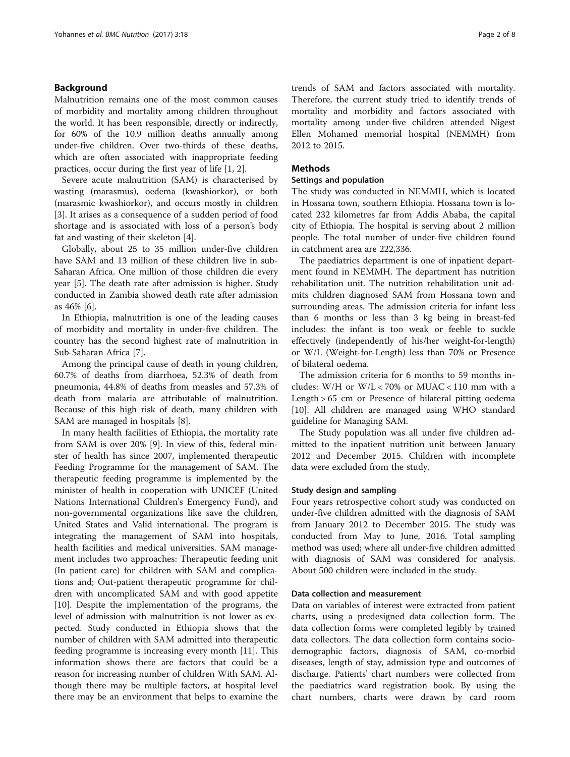# Background

Malnutrition remains one of the most common causes of morbidity and mortality among children throughout the world. It has been responsible, directly or indirectly, for 60% of the 10.9 million deaths annually among under-five children. Over two-thirds of these deaths, which are often associated with inappropriate feeding practices, occur during the first year of life [[1, 2\]](#page-7-0).

Severe acute malnutrition (SAM) is characterised by wasting (marasmus), oedema (kwashiorkor), or both (marasmic kwashiorkor), and occurs mostly in children [[3\]](#page-7-0). It arises as a consequence of a sudden period of food shortage and is associated with loss of a person's body fat and wasting of their skeleton [[4\]](#page-7-0).

Globally, about 25 to 35 million under-five children have SAM and 13 million of these children live in sub-Saharan Africa. One million of those children die every year [\[5](#page-7-0)]. The death rate after admission is higher. Study conducted in Zambia showed death rate after admission as 46% [[6\]](#page-7-0).

In Ethiopia, malnutrition is one of the leading causes of morbidity and mortality in under-five children. The country has the second highest rate of malnutrition in Sub-Saharan Africa [[7\]](#page-7-0).

Among the principal cause of death in young children, 60.7% of deaths from diarrhoea, 52.3% of death from pneumonia, 44.8% of deaths from measles and 57.3% of death from malaria are attributable of malnutrition. Because of this high risk of death, many children with SAM are managed in hospitals [[8\]](#page-7-0).

In many health facilities of Ethiopia, the mortality rate from SAM is over 20% [[9](#page-7-0)]. In view of this, federal minster of health has since 2007, implemented therapeutic Feeding Programme for the management of SAM. The therapeutic feeding programme is implemented by the minister of health in cooperation with UNICEF (United Nations International Children's Emergency Fund), and non-governmental organizations like save the children, United States and Valid international. The program is integrating the management of SAM into hospitals, health facilities and medical universities. SAM management includes two approaches: Therapeutic feeding unit (In patient care) for children with SAM and complications and; Out-patient therapeutic programme for children with uncomplicated SAM and with good appetite [[10\]](#page-7-0). Despite the implementation of the programs, the level of admission with malnutrition is not lower as expected. Study conducted in Ethiopia shows that the number of children with SAM admitted into therapeutic feeding programme is increasing every month [[11\]](#page-7-0). This information shows there are factors that could be a reason for increasing number of children With SAM. Although there may be multiple factors, at hospital level there may be an environment that helps to examine the trends of SAM and factors associated with mortality. Therefore, the current study tried to identify trends of mortality and morbidity and factors associated with mortality among under-five children attended Nigest Ellen Mohamed memorial hospital (NEMMH) from 2012 to 2015.

# Methods

### Settings and population

The study was conducted in NEMMH, which is located in Hossana town, southern Ethiopia. Hossana town is located 232 kilometres far from Addis Ababa, the capital city of Ethiopia. The hospital is serving about 2 million people. The total number of under-five children found in catchment area are 222,336.

The paediatrics department is one of inpatient department found in NEMMH. The department has nutrition rehabilitation unit. The nutrition rehabilitation unit admits children diagnosed SAM from Hossana town and surrounding areas. The admission criteria for infant less than 6 months or less than 3 kg being in breast-fed includes: the infant is too weak or feeble to suckle effectively (independently of his/her weight-for-length) or W/L (Weight-for-Length) less than 70% or Presence of bilateral oedema.

The admission criteria for 6 months to 59 months includes:  $W/H$  or  $W/L < 70\%$  or  $MUAC < 110$  mm with a Length > 65 cm or Presence of bilateral pitting oedema [[10\]](#page-7-0). All children are managed using WHO standard guideline for Managing SAM.

The Study population was all under five children admitted to the inpatient nutrition unit between January 2012 and December 2015. Children with incomplete data were excluded from the study.

# Study design and sampling

Four years retrospective cohort study was conducted on under-five children admitted with the diagnosis of SAM from January 2012 to December 2015. The study was conducted from May to June, 2016. Total sampling method was used; where all under-five children admitted with diagnosis of SAM was considered for analysis. About 500 children were included in the study.

# Data collection and measurement

Data on variables of interest were extracted from patient charts, using a predesigned data collection form. The data collection forms were completed legibly by trained data collectors. The data collection form contains sociodemographic factors, diagnosis of SAM, co-morbid diseases, length of stay, admission type and outcomes of discharge. Patients' chart numbers were collected from the paediatrics ward registration book. By using the chart numbers, charts were drawn by card room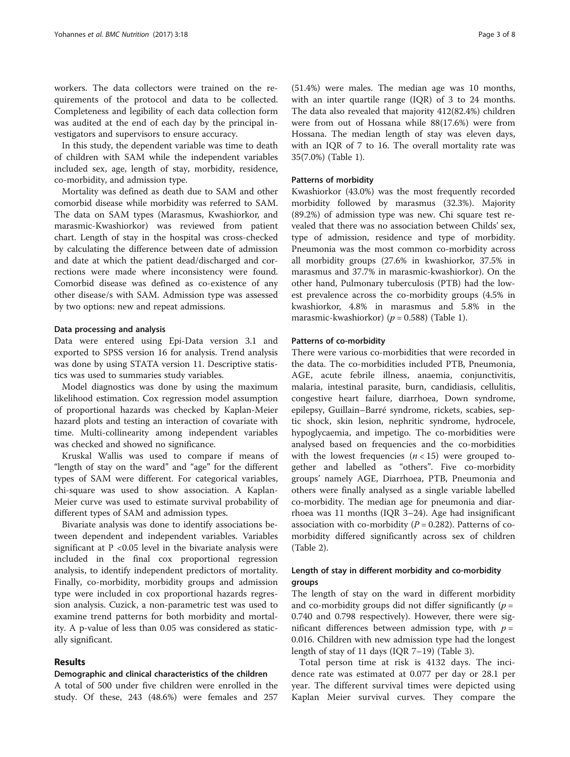workers. The data collectors were trained on the requirements of the protocol and data to be collected. Completeness and legibility of each data collection form was audited at the end of each day by the principal investigators and supervisors to ensure accuracy.

In this study, the dependent variable was time to death of children with SAM while the independent variables included sex, age, length of stay, morbidity, residence, co-morbidity, and admission type.

Mortality was defined as death due to SAM and other comorbid disease while morbidity was referred to SAM. The data on SAM types (Marasmus, Kwashiorkor, and marasmic-Kwashiorkor) was reviewed from patient chart. Length of stay in the hospital was cross-checked by calculating the difference between date of admission and date at which the patient dead/discharged and corrections were made where inconsistency were found. Comorbid disease was defined as co-existence of any other disease/s with SAM. Admission type was assessed by two options: new and repeat admissions.

### Data processing and analysis

Data were entered using Epi-Data version 3.1 and exported to SPSS version 16 for analysis. Trend analysis was done by using STATA version 11. Descriptive statistics was used to summaries study variables.

Model diagnostics was done by using the maximum likelihood estimation. Cox regression model assumption of proportional hazards was checked by Kaplan-Meier hazard plots and testing an interaction of covariate with time. Multi-collinearity among independent variables was checked and showed no significance.

Kruskal Wallis was used to compare if means of "length of stay on the ward" and "age" for the different types of SAM were different. For categorical variables, chi-square was used to show association. A Kaplan-Meier curve was used to estimate survival probability of different types of SAM and admission types.

Bivariate analysis was done to identify associations between dependent and independent variables. Variables significant at P <0.05 level in the bivariate analysis were included in the final cox proportional regression analysis, to identify independent predictors of mortality. Finally, co-morbidity, morbidity groups and admission type were included in cox proportional hazards regression analysis. Cuzick, a non-parametric test was used to examine trend patterns for both morbidity and mortality. A p-value of less than 0.05 was considered as statically significant.

# Results

### Demographic and clinical characteristics of the children

A total of 500 under five children were enrolled in the study. Of these, 243 (48.6%) were females and 257

(51.4%) were males. The median age was 10 months, with an inter quartile range (IQR) of 3 to 24 months. The data also revealed that majority 412(82.4%) children were from out of Hossana while 88(17.6%) were from Hossana. The median length of stay was eleven days, with an IQR of 7 to 16. The overall mortality rate was 35(7.0%) (Table [1\)](#page-3-0).

### Patterns of morbidity

Kwashiorkor (43.0%) was the most frequently recorded morbidity followed by marasmus (32.3%). Majority (89.2%) of admission type was new. Chi square test revealed that there was no association between Childs' sex, type of admission, residence and type of morbidity. Pneumonia was the most common co-morbidity across all morbidity groups (27.6% in kwashiorkor, 37.5% in marasmus and 37.7% in marasmic-kwashiorkor). On the other hand, Pulmonary tuberculosis (PTB) had the lowest prevalence across the co-morbidity groups (4.5% in kwashiorkor, 4.8% in marasmus and 5.8% in the marasmic-kwashiorkor) ( $p = 0.588$ ) (Table [1](#page-3-0)).

### Patterns of co-morbidity

There were various co-morbidities that were recorded in the data. The co-morbidities included PTB, Pneumonia, AGE, acute febrile illness, anaemia, conjunctivitis, malaria, intestinal parasite, burn, candidiasis, cellulitis, congestive heart failure, diarrhoea, Down syndrome, epilepsy, Guillain–Barré syndrome, rickets, scabies, septic shock, skin lesion, nephritic syndrome, hydrocele, hypoglycaemia, and impetigo. The co-morbidities were analysed based on frequencies and the co-morbidities with the lowest frequencies  $(n < 15)$  were grouped together and labelled as "others". Five co-morbidity groups' namely AGE, Diarrhoea, PTB, Pneumonia and others were finally analysed as a single variable labelled co-morbidity. The median age for pneumonia and diarrhoea was 11 months (IQR 3–24). Age had insignificant association with co-morbidity ( $P = 0.282$ ). Patterns of comorbidity differed significantly across sex of children (Table [2\)](#page-3-0).

# Length of stay in different morbidity and co-morbidity groups

The length of stay on the ward in different morbidity and co-morbidity groups did not differ significantly  $(p =$ 0.740 and 0.798 respectively). However, there were significant differences between admission type, with  $p =$ 0.016. Children with new admission type had the longest length of stay of 11 days (IQR 7–19) (Table [3](#page-4-0)).

Total person time at risk is 4132 days. The incidence rate was estimated at 0.077 per day or 28.1 per year. The different survival times were depicted using Kaplan Meier survival curves. They compare the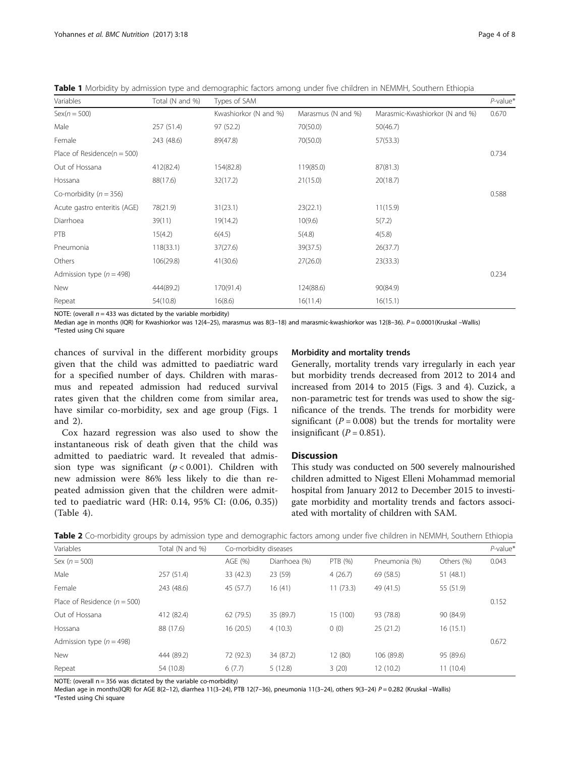| Variables                       | Total (N and %) | Types of SAM          |                    |                                | $P$ -value* |
|---------------------------------|-----------------|-----------------------|--------------------|--------------------------------|-------------|
| $Sex(n = 500)$                  |                 | Kwashiorkor (N and %) | Marasmus (N and %) | Marasmic-Kwashiorkor (N and %) | 0.670       |
| Male                            | 257 (51.4)      | 97 (52.2)             | 70(50.0)           | 50(46.7)                       |             |
| Female                          | 243 (48.6)      | 89(47.8)              | 70(50.0)           | 57(53.3)                       |             |
| Place of Residence( $n = 500$ ) |                 |                       |                    |                                | 0.734       |
| Out of Hossana                  | 412(82.4)       | 154(82.8)             | 119(85.0)          | 87(81.3)                       |             |
| Hossana                         | 88(17.6)        | 32(17.2)              | 21(15.0)           | 20(18.7)                       |             |
| Co-morbidity ( $n = 356$ )      |                 |                       |                    |                                | 0.588       |
| Acute gastro enteritis (AGE)    | 78(21.9)        | 31(23.1)              | 23(22.1)           | 11(15.9)                       |             |
| Diarrhoea                       | 39(11)          | 19(14.2)              | 10(9.6)            | 5(7.2)                         |             |
| PTB                             | 15(4.2)         | 6(4.5)                | 5(4.8)             | 4(5.8)                         |             |
| Pneumonia                       | 118(33.1)       | 37(27.6)              | 39(37.5)           | 26(37.7)                       |             |
| Others                          | 106(29.8)       | 41(30.6)              | 27(26.0)           | 23(33.3)                       |             |
| Admission type $(n = 498)$      |                 |                       |                    |                                | 0.234       |
| New                             | 444(89.2)       | 170(91.4)             | 124(88.6)          | 90(84.9)                       |             |
|                                 |                 |                       |                    |                                |             |

<span id="page-3-0"></span>Table 1 Morbidity by admission type and demographic factors among under five children in NEMMH, Southern Ethiopia

NOTE: (overall  $n = 433$  was dictated by the variable morbidity)

Median age in months (IQR) for Kwashiorkor was 12(4-25), marasmus was 8(3-18) and marasmic-kwashiorkor was 12(8-36). P = 0.0001(Kruskal -Wallis) \*Tested using Chi square

Repeat 54(10.8) 16(8.6) 16(11.4) 16(15.1)

chances of survival in the different morbidity groups given that the child was admitted to paediatric ward for a specified number of days. Children with marasmus and repeated admission had reduced survival rates given that the children come from similar area, have similar co-morbidity, sex and age group (Figs. [1](#page-4-0) and [2\)](#page-5-0).

Cox hazard regression was also used to show the instantaneous risk of death given that the child was admitted to paediatric ward. It revealed that admission type was significant  $(p < 0.001)$ . Children with new admission were 86% less likely to die than repeated admission given that the children were admitted to paediatric ward (HR: 0.14, 95% CI: (0.06, 0.35)) (Table [4\)](#page-5-0).

# Morbidity and mortality trends

Generally, mortality trends vary irregularly in each year but morbidity trends decreased from 2012 to 2014 and increased from 2014 to 2015 (Figs. [3](#page-6-0) and [4\)](#page-6-0). Cuzick, a non-parametric test for trends was used to show the significance of the trends. The trends for morbidity were significant ( $P = 0.008$ ) but the trends for mortality were insignificant ( $P = 0.851$ ).

# **Discussion**

This study was conducted on 500 severely malnourished children admitted to Nigest Elleni Mohammad memorial hospital from January 2012 to December 2015 to investigate morbidity and mortality trends and factors associated with mortality of children with SAM.

|   | Table 2 Co-morbidity groups by admission type and demographic factors among under five children in NEMMH, Southern Ethiopia |  |  |  |  |  |  |  |
|---|-----------------------------------------------------------------------------------------------------------------------------|--|--|--|--|--|--|--|
| . |                                                                                                                             |  |  |  |  |  |  |  |

| Variables                      | Total (N and %) | Co-morbidity diseases |               |          |               |            | $P$ -value* |
|--------------------------------|-----------------|-----------------------|---------------|----------|---------------|------------|-------------|
| Sex $(n = 500)$                |                 | AGE (%)               | Diarrhoea (%) | PTB (%)  | Pneumonia (%) | Others (%) | 0.043       |
| Male                           | 257 (51.4)      | 33 (42.3)             | 23 (59)       | 4(26.7)  | 69 (58.5)     | 51(48.1)   |             |
| Female                         | 243 (48.6)      | 45 (57.7)             | 16(41)        | 11(73.3) | 49 (41.5)     | 55 (51.9)  |             |
| Place of Residence $(n = 500)$ |                 |                       |               |          |               |            | 0.152       |
| Out of Hossana                 | 412 (82.4)      | 62 (79.5)             | 35 (89.7)     | 15 (100) | 93 (78.8)     | 90 (84.9)  |             |
| Hossana                        | 88 (17.6)       | 16(20.5)              | 4(10.3)       | 0(0)     | 25(21.2)      | 16(15.1)   |             |
| Admission type ( $n = 498$ )   |                 |                       |               |          |               |            | 0.672       |
| <b>New</b>                     | 444 (89.2)      | 72 (92.3)             | 34 (87.2)     | 12 (80)  | 106 (89.8)    | 95 (89.6)  |             |
| Repeat                         | 54 (10.8)       | 6(7.7)                | 5(12.8)       | 3(20)    | 12 (10.2)     | 11(10.4)   |             |

NOTE: (overall  $n = 356$  was dictated by the variable co-morbidity)

Median age in months(IQR) for AGE 8(2–12), diarrhea 11(3–24), PTB 12(7–36), pneumonia 11(3–24), others 9(3–24) P = 0.282 (Kruskal –Wallis) \*Tested using Chi square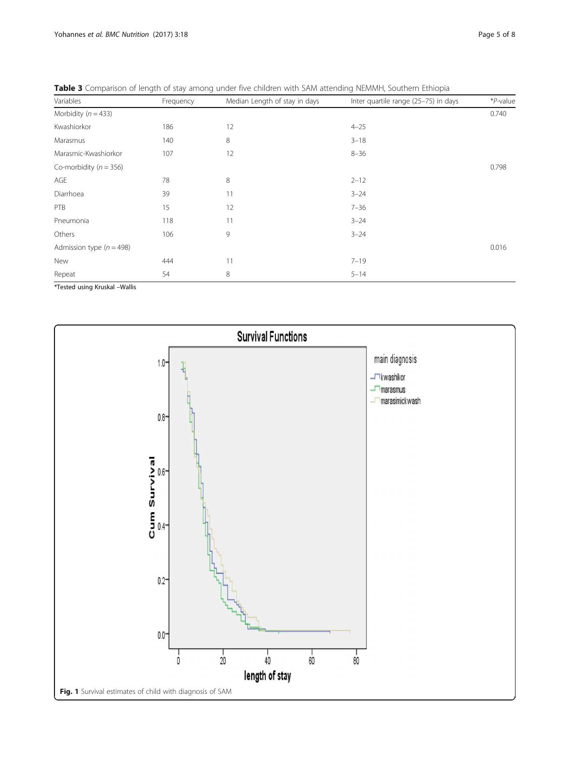| Variables                    | Frequency | Median Length of stay in days | Inter quartile range (25-75) in days | *P-value |
|------------------------------|-----------|-------------------------------|--------------------------------------|----------|
| Morbidity ( $n = 433$ )      |           |                               |                                      | 0.740    |
| Kwashiorkor                  | 186       | 12                            | $4 - 25$                             |          |
| Marasmus                     | 140       | 8                             | $3 - 18$                             |          |
| Marasmic-Kwashiorkor         | 107       | 12                            | $8 - 36$                             |          |
| Co-morbidity ( $n = 356$ )   |           |                               |                                      | 0.798    |
| AGE                          | 78        | 8                             | $2 - 12$                             |          |
| Diarrhoea                    | 39        | 11                            | $3 - 24$                             |          |
| PTB                          | 15        | 12                            | $7 - 36$                             |          |
| Pneumonia                    | 118       | 11                            | $3 - 24$                             |          |
| Others                       | 106       | 9                             | $3 - 24$                             |          |
| Admission type ( $n = 498$ ) |           |                               |                                      | 0.016    |
| New                          | 444       | 11                            | $7 - 19$                             |          |
| Repeat                       | 54        | 8                             | $5 - 14$                             |          |

<span id="page-4-0"></span>Table 3 Comparison of length of stay among under five children with SAM attending NEMMH, Southern Ethiopia

\*Tested using Kruskal –Wallis

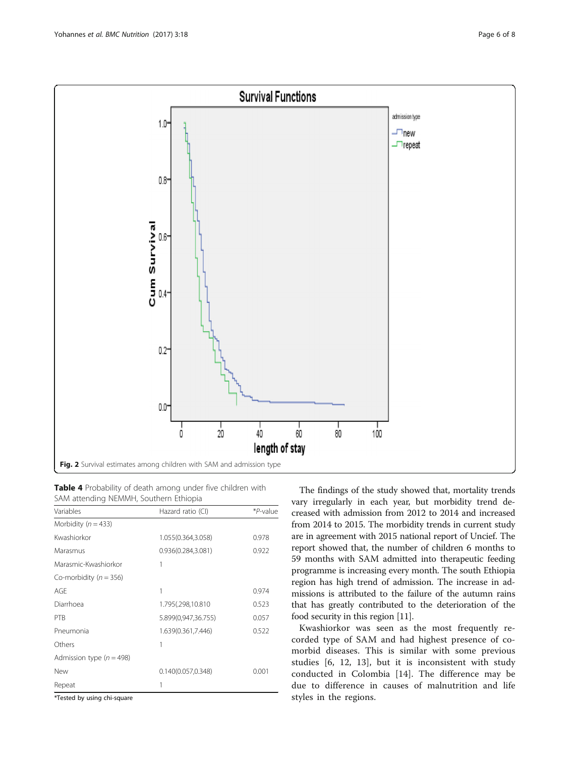<span id="page-5-0"></span>

Table 4 Probability of death among under five children with SAM attending NEMMH, Southern Ethiopia

| Variables                    | Hazard ratio (CI)   | *P-value |
|------------------------------|---------------------|----------|
| Morbidity ( $n = 433$ )      |                     |          |
| Kwashiorkor                  | 1.055(0.364,3.058)  | 0.978    |
| Marasmus                     | 0.936(0.284,3.081)  | 0.922    |
| Marasmic-Kwashiorkor         | 1                   |          |
| Co-morbidity ( $n = 356$ )   |                     |          |
| AGF                          | 1                   | 0.974    |
| Diarrhoea                    | 1.795(.298,10.810   | 0.523    |
| PTB                          | 5.899(0,947,36.755) | 0.057    |
| Pneumonia                    | 1.639(0.361,7.446)  | 0.522    |
| Others                       | 1                   |          |
| Admission type ( $n = 498$ ) |                     |          |
| New                          | 0.140(0.057,0.348)  | 0.001    |
| Repeat                       |                     |          |

\*Tested by using chi-square

The findings of the study showed that, mortality trends vary irregularly in each year, but morbidity trend decreased with admission from 2012 to 2014 and increased from 2014 to 2015. The morbidity trends in current study are in agreement with 2015 national report of Uncief. The report showed that, the number of children 6 months to 59 months with SAM admitted into therapeutic feeding programme is increasing every month. The south Ethiopia region has high trend of admission. The increase in admissions is attributed to the failure of the autumn rains that has greatly contributed to the deterioration of the food security in this region [[11](#page-7-0)].

Kwashiorkor was seen as the most frequently recorded type of SAM and had highest presence of comorbid diseases. This is similar with some previous studies [\[6](#page-7-0), [12](#page-7-0), [13\]](#page-7-0), but it is inconsistent with study conducted in Colombia [[14\]](#page-7-0). The difference may be due to difference in causes of malnutrition and life styles in the regions.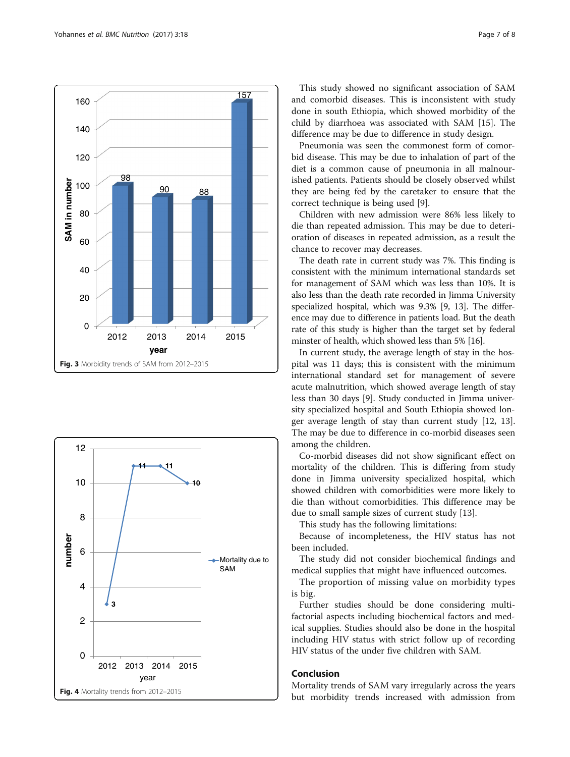<span id="page-6-0"></span>



This study showed no significant association of SAM and comorbid diseases. This is inconsistent with study done in south Ethiopia, which showed morbidity of the child by diarrhoea was associated with SAM [[15\]](#page-7-0). The difference may be due to difference in study design.

Pneumonia was seen the commonest form of comorbid disease. This may be due to inhalation of part of the diet is a common cause of pneumonia in all malnourished patients. Patients should be closely observed whilst they are being fed by the caretaker to ensure that the correct technique is being used [\[9\]](#page-7-0).

Children with new admission were 86% less likely to die than repeated admission. This may be due to deterioration of diseases in repeated admission, as a result the chance to recover may decreases.

The death rate in current study was 7%. This finding is consistent with the minimum international standards set for management of SAM which was less than 10%. It is also less than the death rate recorded in Jimma University specialized hospital, which was 9.3% [\[9](#page-7-0), [13](#page-7-0)]. The difference may due to difference in patients load. But the death rate of this study is higher than the target set by federal minster of health, which showed less than 5% [\[16\]](#page-7-0).

In current study, the average length of stay in the hospital was 11 days; this is consistent with the minimum international standard set for management of severe acute malnutrition, which showed average length of stay less than 30 days [[9\]](#page-7-0). Study conducted in Jimma university specialized hospital and South Ethiopia showed longer average length of stay than current study [[12, 13](#page-7-0)]. The may be due to difference in co-morbid diseases seen among the children.

Co-morbid diseases did not show significant effect on mortality of the children. This is differing from study done in Jimma university specialized hospital, which showed children with comorbidities were more likely to die than without comorbidities. This difference may be due to small sample sizes of current study [\[13](#page-7-0)].

This study has the following limitations:

Because of incompleteness, the HIV status has not been included.

The study did not consider biochemical findings and medical supplies that might have influenced outcomes.

The proportion of missing value on morbidity types is big.

Further studies should be done considering multifactorial aspects including biochemical factors and medical supplies. Studies should also be done in the hospital including HIV status with strict follow up of recording HIV status of the under five children with SAM.

# Conclusion

Mortality trends of SAM vary irregularly across the years but morbidity trends increased with admission from